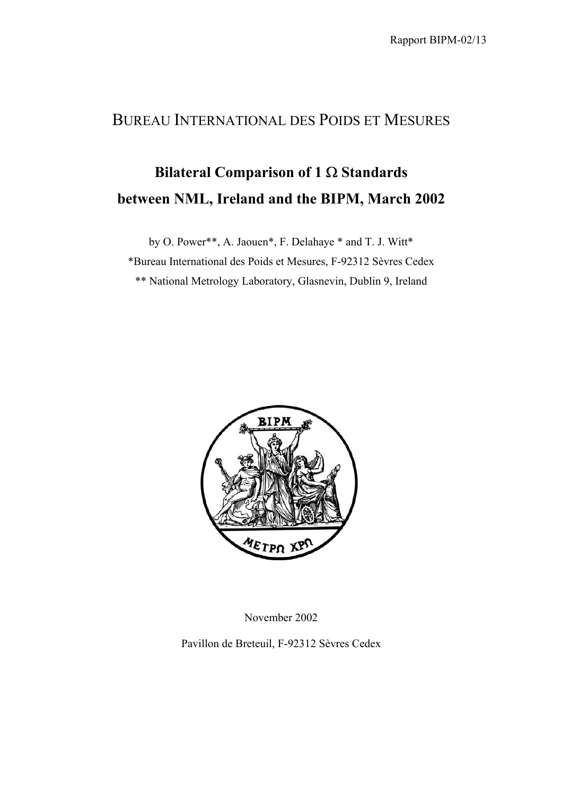## BUREAU INTERNATIONAL DES POIDS ET MESURES

## **Bilateral Comparison of 1** Ω **Standards between NML, Ireland and the BIPM, March 2002**

by O. Power\*\*, A. Jaouen\*, F. Delahaye \* and T. J. Witt\*

\*Bureau International des Poids et Mesures, F-92312 Sèvres Cedex

\*\* National Metrology Laboratory, Glasnevin, Dublin 9, Ireland



November 2002

Pavillon de Breteuil, F-92312 Sèvres Cedex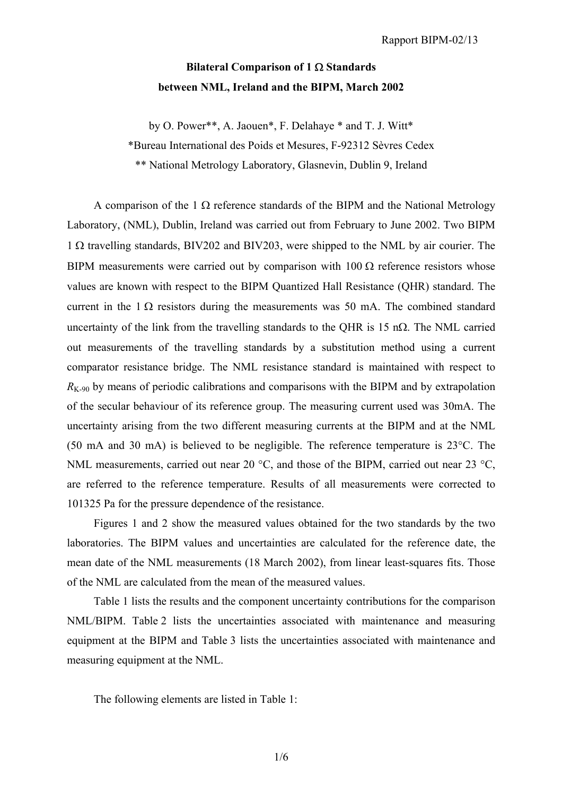## **Bilateral Comparison of 1** Ω **Standards between NML, Ireland and the BIPM, March 2002**

by O. Power\*\*, A. Jaouen\*, F. Delahaye \* and T. J. Witt\*

\*Bureau International des Poids et Mesures, F-92312 Sèvres Cedex

\*\* National Metrology Laboratory, Glasnevin, Dublin 9, Ireland

A comparison of the 1  $\Omega$  reference standards of the BIPM and the National Metrology Laboratory, (NML), Dublin, Ireland was carried out from February to June 2002. Two BIPM 1 Ω travelling standards, BIV202 and BIV203, were shipped to the NML by air courier. The BIPM measurements were carried out by comparison with  $100 \Omega$  reference resistors whose values are known with respect to the BIPM Quantized Hall Resistance (QHR) standard. The current in the  $1 \Omega$  resistors during the measurements was 50 mA. The combined standard uncertainty of the link from the travelling standards to the OHR is 15 n $\Omega$ . The NML carried out measurements of the travelling standards by a substitution method using a current comparator resistance bridge. The NML resistance standard is maintained with respect to  $R_{K-90}$  by means of periodic calibrations and comparisons with the BIPM and by extrapolation of the secular behaviour of its reference group. The measuring current used was 30mA. The uncertainty arising from the two different measuring currents at the BIPM and at the NML (50 mA and 30 mA) is believed to be negligible. The reference temperature is 23°C. The NML measurements, carried out near 20 °C, and those of the BIPM, carried out near 23 °C, are referred to the reference temperature. Results of all measurements were corrected to 101325 Pa for the pressure dependence of the resistance.

Figures 1 and 2 show the measured values obtained for the two standards by the two laboratories. The BIPM values and uncertainties are calculated for the reference date, the mean date of the NML measurements (18 March 2002), from linear least-squares fits. Those of the NML are calculated from the mean of the measured values.

Table 1 lists the results and the component uncertainty contributions for the comparison NML/BIPM. Table 2 lists the uncertainties associated with maintenance and measuring equipment at the BIPM and Table 3 lists the uncertainties associated with maintenance and measuring equipment at the NML.

The following elements are listed in Table 1: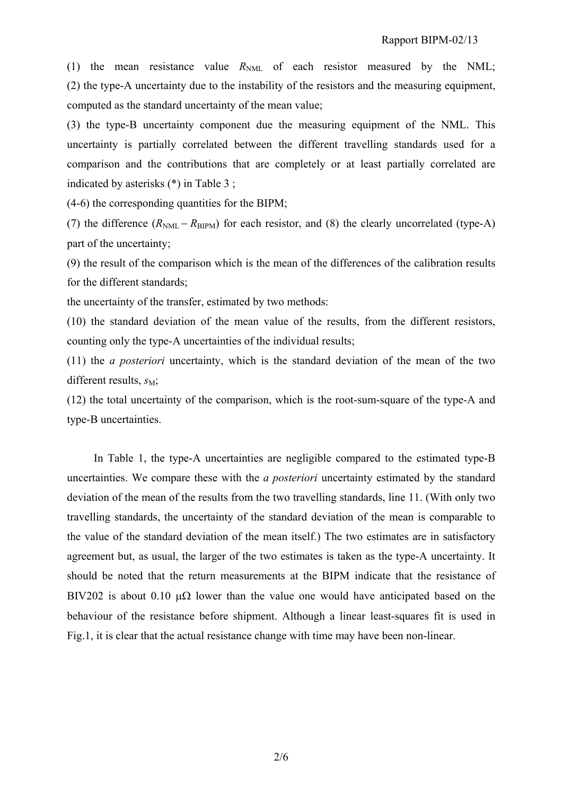(1) the mean resistance value  $R_{NML}$  of each resistor measured by the NML; (2) the type-A uncertainty due to the instability of the resistors and the measuring equipment, computed as the standard uncertainty of the mean value;

(3) the type-B uncertainty component due the measuring equipment of the NML. This uncertainty is partially correlated between the different travelling standards used for a comparison and the contributions that are completely or at least partially correlated are indicated by asterisks (\*) in Table 3 ;

(4-6) the corresponding quantities for the BIPM;

(7) the difference  $(R_{NML} - R_{BIPM})$  for each resistor, and (8) the clearly uncorrelated (type-A) part of the uncertainty;

(9) the result of the comparison which is the mean of the differences of the calibration results for the different standards;

the uncertainty of the transfer, estimated by two methods:

(10) the standard deviation of the mean value of the results, from the different resistors, counting only the type-A uncertainties of the individual results;

(11) the *a posteriori* uncertainty, which is the standard deviation of the mean of the two different results,  $s_M$ ;

(12) the total uncertainty of the comparison, which is the root-sum-square of the type-A and type-B uncertainties.

In Table 1, the type-A uncertainties are negligible compared to the estimated type-B uncertainties. We compare these with the *a posteriori* uncertainty estimated by the standard deviation of the mean of the results from the two travelling standards, line 11. (With only two travelling standards, the uncertainty of the standard deviation of the mean is comparable to the value of the standard deviation of the mean itself.) The two estimates are in satisfactory agreement but, as usual, the larger of the two estimates is taken as the type-A uncertainty. It should be noted that the return measurements at the BIPM indicate that the resistance of BIV202 is about 0.10  $\mu\Omega$  lower than the value one would have anticipated based on the behaviour of the resistance before shipment. Although a linear least-squares fit is used in Fig.1, it is clear that the actual resistance change with time may have been non-linear.

2/6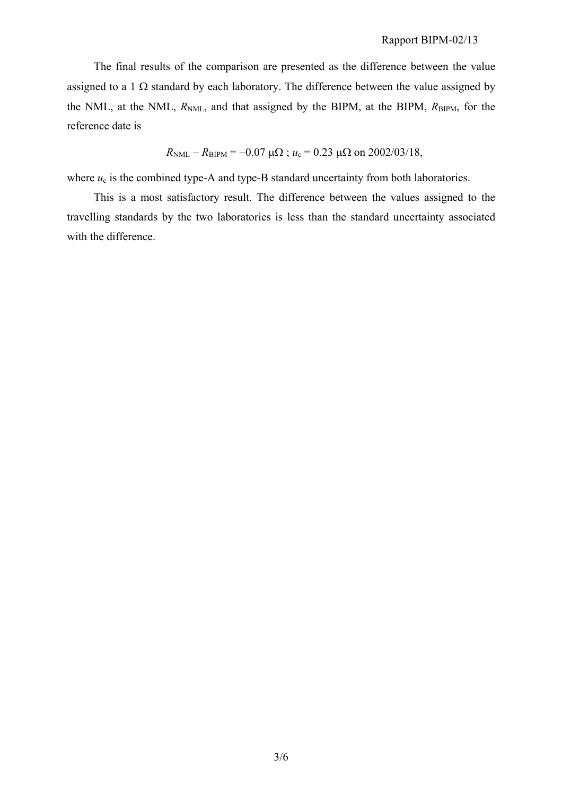The final results of the comparison are presented as the difference between the value assigned to a 1  $\Omega$  standard by each laboratory. The difference between the value assigned by the NML, at the NML,  $R_{NML}$ , and that assigned by the BIPM, at the BIPM,  $R_{BIPM}$ , for the reference date is

$$
R_{\text{NML}} - R_{\text{BIPM}} = -0.07 \mu\Omega
$$
;  $u_c = 0.23 \mu\Omega$  on 2002/03/18,

where  $u_c$  is the combined type-A and type-B standard uncertainty from both laboratories.

This is a most satisfactory result. The difference between the values assigned to the travelling standards by the two laboratories is less than the standard uncertainty associated with the difference.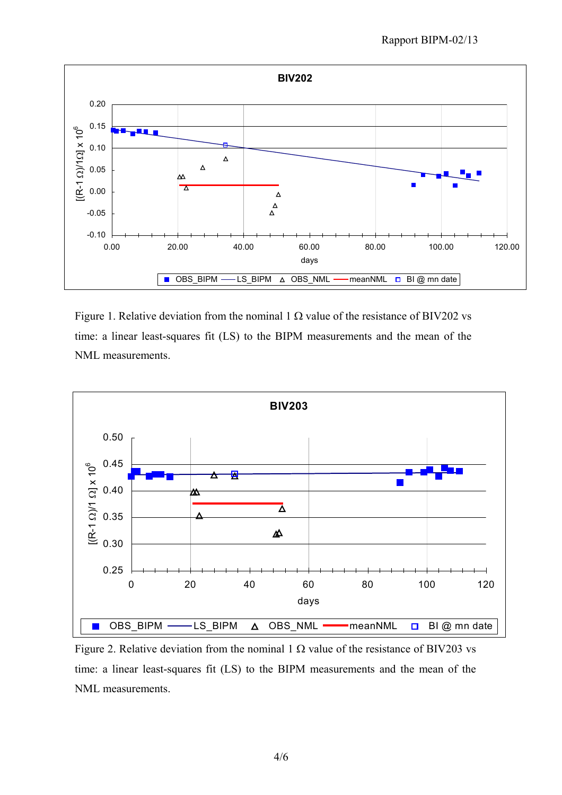

Figure 1. Relative deviation from the nominal 1  $\Omega$  value of the resistance of BIV202 vs time: a linear least-squares fit (LS) to the BIPM measurements and the mean of the NML measurements.



Figure 2. Relative deviation from the nominal 1  $\Omega$  value of the resistance of BIV203 vs time: a linear least-squares fit (LS) to the BIPM measurements and the mean of the NML measurements.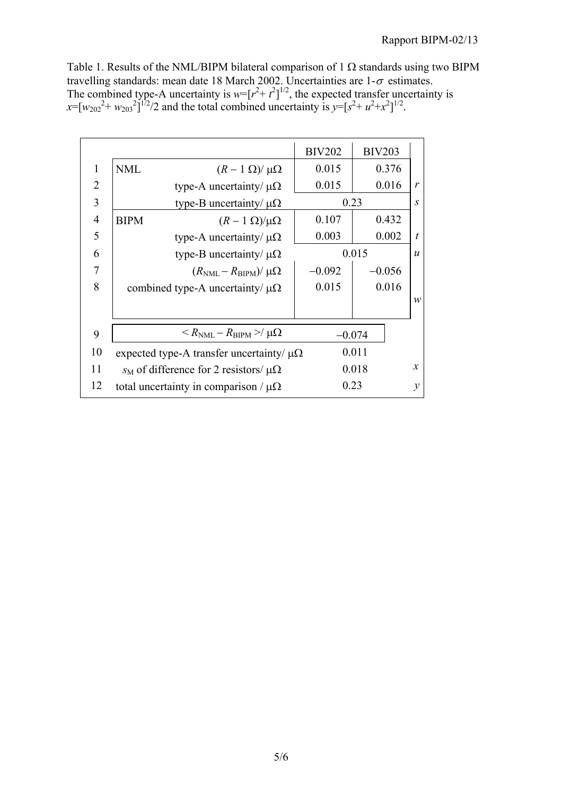Table 1. Results of the NML/BIPM bilateral comparison of 1  $\Omega$  standards using two BIPM travelling standards: mean date 18 March 2002. Uncertainties are  $1-\sigma$  estimates. The combined type-A uncertainty is  $w=[r^2 + t^2]^{1/2}$ , the expected transfer uncertainty is  $x=[w_{202}^2 + w_{203}^2]^{1/2}/2$  and the total combined uncertainty is  $y=[s^2 + u^2 + x^2]^{1/2}$ .

|                |                                                           | <b>BIV202</b> | <b>BIV203</b> |                  |
|----------------|-----------------------------------------------------------|---------------|---------------|------------------|
| $\mathbf{1}$   | NML<br>$(R-1 \Omega)/\mu\Omega$                           | 0.015         | 0.376         |                  |
| $\overline{2}$ | type-A uncertainty/ $\mu\Omega$                           | 0.015         | 0.016         | $\mathcal{V}$    |
| 3              | type-B uncertainty/ $\mu\Omega$                           | 0.23          |               | $\overline{S}$   |
| $\overline{4}$ | <b>BIPM</b><br>$(R-1 \Omega)/\mu\Omega$                   | 0.107         | 0.432         |                  |
| 5              | type-A uncertainty/ $\mu\Omega$                           | 0.003         | 0.002         | $\boldsymbol{t}$ |
| 6              | type-B uncertainty/ $\mu\Omega$                           | 0.015         |               | $\boldsymbol{u}$ |
| 7              | $(R_{\text{NML}} - R_{\text{BIPM}})/\mu\Omega$            | $-0.092$      | $-0.056$      |                  |
| 8              | combined type-A uncertainty/ $\mu\Omega$                  | 0.015         | 0.016         |                  |
|                |                                                           |               |               | $\mathcal{W}$    |
|                |                                                           |               |               |                  |
| 9              | $\langle R_{\rm NML} - R_{\rm BIPM} \rangle / \mu \Omega$ | $-0.074$      |               |                  |
| 10             | expected type-A transfer uncertainty/ $\mu\Omega$         |               | 0.011         |                  |
| 11             | $s_M$ of difference for 2 resistors/ $\mu\Omega$          | 0.018         |               | $\mathcal{X}$    |
| 12             | total uncertainty in comparison / $\mu\Omega$             |               | 0.23          | $\mathcal{V}$    |
|                |                                                           |               |               |                  |